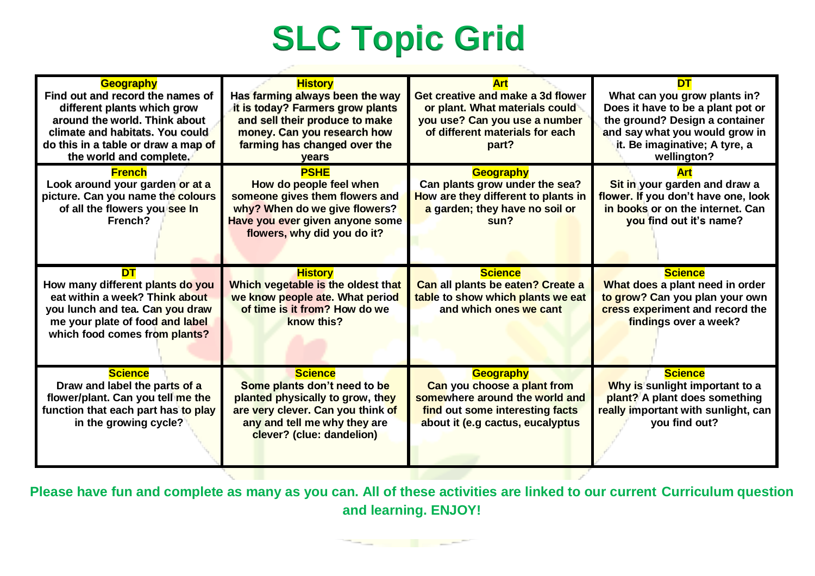## **SLC Topic Grid**

|                                                              |                                    |                                     | DТ                                  |
|--------------------------------------------------------------|------------------------------------|-------------------------------------|-------------------------------------|
| <b>Geography</b><br>Find out and record the names of         | <b>History</b>                     | Get creative and make a 3d flower   |                                     |
|                                                              | Has farming always been the way    |                                     | What can you grow plants in?        |
| different plants which grow<br>around the world. Think about | it is today? Farmers grow plants   | or plant. What materials could      | Does it have to be a plant pot or   |
|                                                              | and sell their produce to make     | you use? Can you use a number       | the ground? Design a container      |
| climate and habitats. You could                              | money. Can you research how        | of different materials for each     | and say what you would grow in      |
| do this in a table or draw a map of                          | farming has changed over the       | part?                               | it. Be imaginative; A tyre, a       |
| the world and complete.                                      | <b>vears</b>                       |                                     | wellington?                         |
| <b>French</b>                                                | <b>PSHE</b>                        | <b>Geography</b>                    | Art                                 |
| Look around your garden or at a                              | How do people feel when            | Can plants grow under the sea?      | Sit in your garden and draw a       |
| picture. Can you name the colours                            | someone gives them flowers and     | How are they different to plants in | flower. If you don't have one, look |
| of all the flowers you see In                                | why? When do we give flowers?      | a garden; they have no soil or      | in books or on the internet. Can    |
| French?                                                      | Have you ever given anyone some    | sun?                                | you find out it's name?             |
|                                                              | flowers, why did you do it?        |                                     |                                     |
|                                                              |                                    |                                     |                                     |
|                                                              |                                    |                                     |                                     |
| DT                                                           | <b>History</b>                     | <b>Science</b>                      | <b>Science</b>                      |
| How many different plants do you                             | Which vegetable is the oldest that | Can all plants be eaten? Create a   | What does a plant need in order     |
| eat within a week? Think about                               | we know people ate. What period    | table to show which plants we eat   | to grow? Can you plan your own      |
| you lunch and tea. Can you draw                              | of time is it from? How do we      | and which ones we cant              | cress experiment and record the     |
| me your plate of food and label                              | know this?                         |                                     | findings over a week?               |
| which food comes from plants?                                |                                    |                                     |                                     |
|                                                              |                                    |                                     |                                     |
|                                                              |                                    |                                     |                                     |
| <b>Science</b>                                               | <b>Science</b>                     | <b>Geography</b>                    | <b>Science</b>                      |
| Draw and label the parts of a                                | Some plants don't need to be       | Can you choose a plant from         | Why is sunlight important to a      |
| flower/plant. Can you tell me the                            | planted physically to grow, they   | somewhere around the world and      | plant? A plant does something       |
| function that each part has to play                          | are very clever. Can you think of  | find out some interesting facts     | really important with sunlight, can |
| in the growing cycle?                                        | any and tell me why they are       | about it (e.g cactus, eucalyptus    | you find out?                       |
|                                                              | clever? (clue: dandelion)          |                                     |                                     |
|                                                              |                                    |                                     |                                     |
|                                                              |                                    |                                     |                                     |
|                                                              |                                    |                                     |                                     |

**Please have fun and complete as many as you can. All of these activities are linked to our current Curriculum question and learning. ENJOY!**